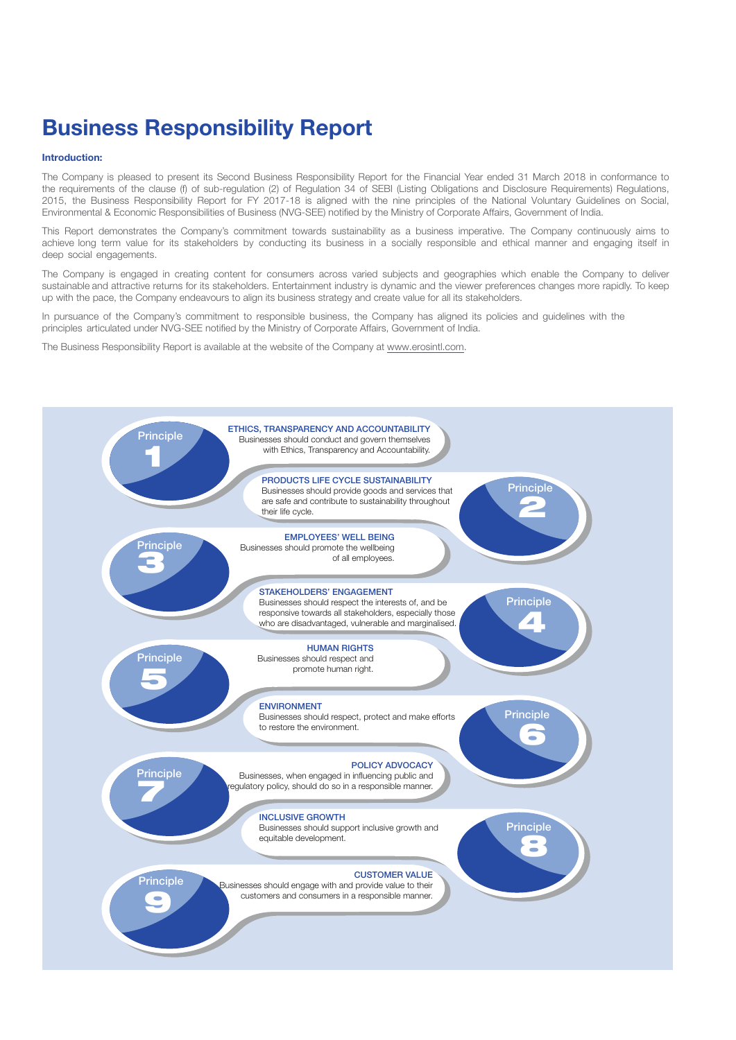# **Business Responsibility Report**

# **Introduction:**

The Company is pleased to present its Second Business Responsibility Report for the Financial Year ended 31 March 2018 in conformance to the requirements of the clause (f) of sub-regulation (2) of Regulation 34 of SEBI (Listing Obligations and Disclosure Requirements) Regulations, 2015, the Business Responsibility Report for FY 2017-18 is aligned with the nine principles of the National Voluntary Guidelines on Social, Environmental & Economic Responsibilities of Business (NVG-SEE) notified by the Ministry of Corporate Affairs, Government of India.

This Report demonstrates the Company's commitment towards sustainability as a business imperative. The Company continuously aims to achieve long term value for its stakeholders by conducting its business in a socially responsible and ethical manner and engaging itself in deep social engagements.

The Company is engaged in creating content for consumers across varied subjects and geographies which enable the Company to deliver sustainable and attractive returns for its stakeholders. Entertainment industry is dynamic and the viewer preferences changes more rapidly. To keep up with the pace, the Company endeavours to align its business strategy and create value for all its stakeholders.

In pursuance of the Company's commitment to responsible business, the Company has aligned its policies and guidelines with the principles articulated under NVG-SEE notified by the Ministry of Corporate Affairs, Government of India.

The Business Responsibility Report is available at the website of the Company at www.erosintl.com.

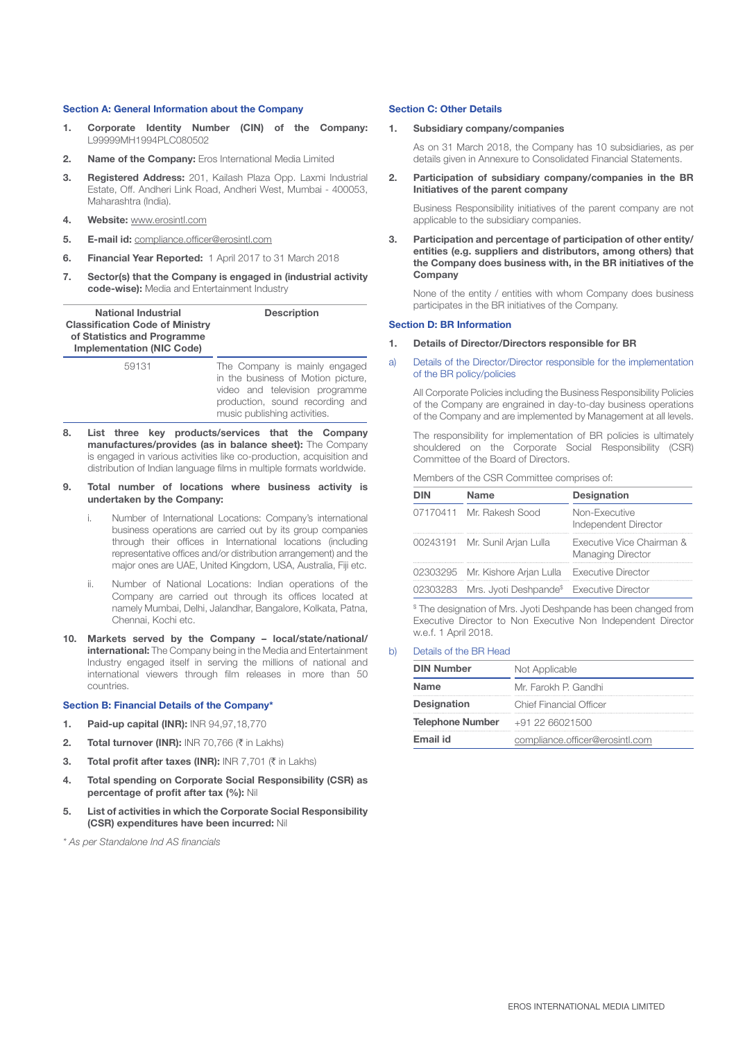### **Section A: General Information about the Company**

- **1. Corporate Identity Number (CIN) of the Company:** L99999MH1994PLC080502
- **2. Name of the Company:** Eros International Media Limited
- **3. Registered Address:** 201, Kailash Plaza Opp. Laxmi Industrial Estate, Off. Andheri Link Road, Andheri West, Mumbai - 400053, Maharashtra (India).
- **4. Website:** www.erosintl.com
- **5. E-mail id:** compliance.officer@erosintl.com
- **6. Financial Year Reported:** 1 April 2017 to 31 March 2018
- **7. Sector(s) that the Company is engaged in (industrial activity code-wise):** Media and Entertainment Industry

| <b>National Industrial</b>             | <b>Description</b> |
|----------------------------------------|--------------------|
| <b>Classification Code of Ministry</b> |                    |
| of Statistics and Programme            |                    |
| <b>Implementation (NIC Code)</b>       |                    |

| 59131 | The Company is mainly engaged      |
|-------|------------------------------------|
|       | in the business of Motion picture, |
|       | video and television programme     |
|       | production, sound recording and    |
|       | music publishing activities.       |

- **8. List three key products/services that the Company manufactures/provides (as in balance sheet):** The Company is engaged in various activities like co-production, acquisition and distribution of Indian language films in multiple formats worldwide.
- **9. Total number of locations where business activity is undertaken by the Company:**
	- i. Number of International Locations: Company's international business operations are carried out by its group companies through their offices in International locations (including representative offices and/or distribution arrangement) and the major ones are UAE, United Kingdom, USA, Australia, Fiji etc.
	- ii. Number of National Locations: Indian operations of the Company are carried out through its offices located at namely Mumbai, Delhi, Jalandhar, Bangalore, Kolkata, Patna, Chennai, Kochi etc.
- **10. Markets served by the Company local/state/national/ international:** The Company being in the Media and Entertainment Industry engaged itself in serving the millions of national and international viewers through film releases in more than 50 countries.

#### **Section B: Financial Details of the Company\***

- **1. Paid-up capital (INR):** INR 94,97,18,770
- **2. Total turnover (INR):** INR 70,766  $(\bar{\tau})$  in Lakhs)
- **3. Total profit after taxes (INR):** INR 7,701 ( $\bar{\tau}$  in Lakhs)
- **4. Total spending on Corporate Social Responsibility (CSR) as percentage of profit after tax (%):** Nil
- **5. List of activities in which the Corporate Social Responsibility (CSR) expenditures have been incurred:** Nil
- *\* As per Standalone Ind AS financials*

#### **Section C: Other Details**

#### **1. Subsidiary company/companies**

As on 31 March 2018, the Company has 10 subsidiaries, as per details given in Annexure to Consolidated Financial Statements.

**2. Participation of subsidiary company/companies in the BR Initiatives of the parent company**

Business Responsibility initiatives of the parent company are not applicable to the subsidiary companies.

**3. Participation and percentage of participation of other entity/ entities (e.g. suppliers and distributors, among others) that the Company does business with, in the BR initiatives of the Company**

None of the entity / entities with whom Company does business participates in the BR initiatives of the Company.

#### **Section D: BR Information**

- **1. Details of Director/Directors responsible for BR**
- a) Details of the Director/Director responsible for the implementation of the BR policy/policies

All Corporate Policies including the Business Responsibility Policies of the Company are engrained in day-to-day business operations of the Company and are implemented by Management at all levels.

The responsibility for implementation of BR policies is ultimately shouldered on the Corporate Social Responsibility (CSR) Committee of the Board of Directors.

#### Members of the CSR Committee comprises of:

| DIN | <b>Name</b>                                                    | <b>Designation</b>                                    |
|-----|----------------------------------------------------------------|-------------------------------------------------------|
|     | 07170411 Mr. Rakesh Sood                                       | Non-Executive<br>Independent Director                 |
|     | 00243191 Mr. Sunil Arjan Lulla                                 | Executive Vice Chairman &<br><b>Managing Director</b> |
|     | 02303295 Mr. Kishore Arian Lulla Executive Director            |                                                       |
|     | 02303283 Mrs. Jyoti Deshpande <sup>\$</sup> Executive Director |                                                       |

\$ The designation of Mrs. Jyoti Deshpande has been changed from Executive Director to Non Executive Non Independent Director w.e.f. 1 April 2018.

#### b) Details of the BR Head

| <b>DIN Number</b>       | Not Applicable                  |  |
|-------------------------|---------------------------------|--|
| <b>Name</b>             | Mr. Farokh P. Gandhi            |  |
| <b>Designation</b>      | Chief Financial Officer         |  |
| <b>Telephone Number</b> | +91 22 66021500                 |  |
| Email id                | compliance.officer@erosintl.com |  |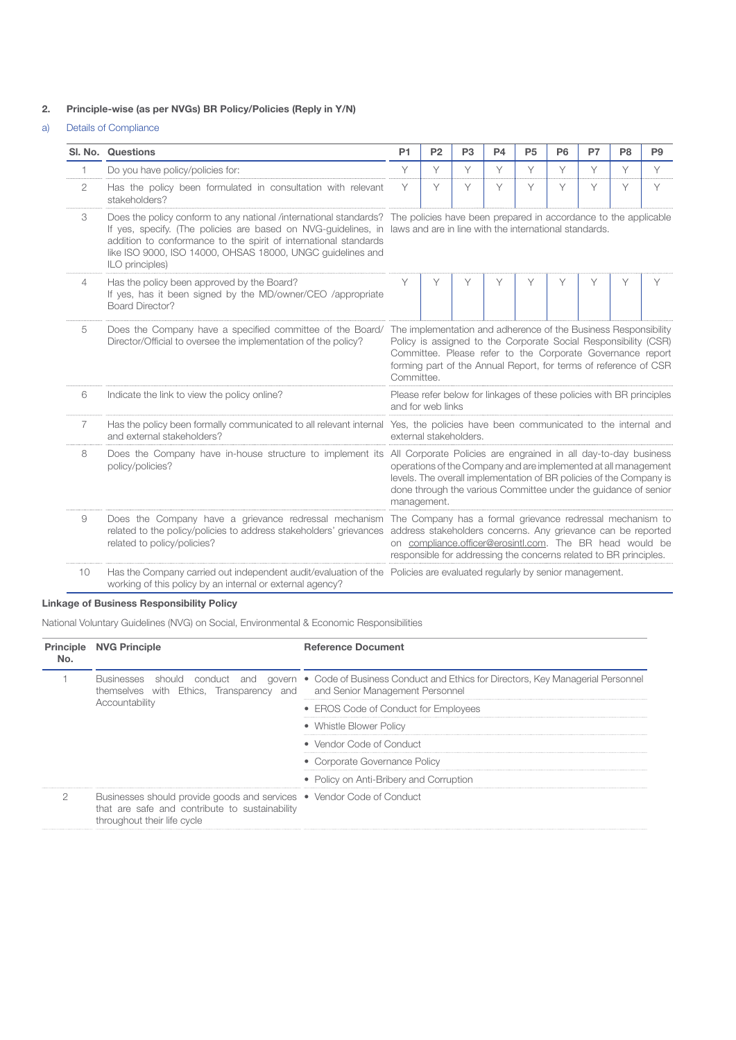# **2. Principle-wise (as per NVGs) BR Policy/Policies (Reply in Y/N)**

# a) Details of Compliance

|    | SI, No. Questions                                                                                                                                                                                                                                                                                                                                                                                               | P <sub>1</sub>                                                                                                                                                                                                                                                                              | P <sub>2</sub> | P <sub>3</sub> | P4 | P <sub>5</sub> | P <sub>6</sub> | P7 | P8 | P <sub>9</sub> |
|----|-----------------------------------------------------------------------------------------------------------------------------------------------------------------------------------------------------------------------------------------------------------------------------------------------------------------------------------------------------------------------------------------------------------------|---------------------------------------------------------------------------------------------------------------------------------------------------------------------------------------------------------------------------------------------------------------------------------------------|----------------|----------------|----|----------------|----------------|----|----|----------------|
|    | Do you have policy/policies for:                                                                                                                                                                                                                                                                                                                                                                                | Y                                                                                                                                                                                                                                                                                           | Υ              | Υ              | Υ  | Υ              | Υ              | Y  | Y  | Y              |
| 2  | Has the policy been formulated in consultation with relevant<br>stakeholders?                                                                                                                                                                                                                                                                                                                                   | Y                                                                                                                                                                                                                                                                                           | Υ              | Υ              | Υ  | Υ              | Υ              | Υ  | Y  | Υ              |
| 3  | Does the policy conform to any national /international standards? The policies have been prepared in accordance to the applicable<br>If yes, specify. (The policies are based on NVG-guidelines, in laws and are in line with the international standards.<br>addition to conformance to the spirit of international standards<br>like ISO 9000, ISO 14000, OHSAS 18000, UNGC guidelines and<br>ILO principles) |                                                                                                                                                                                                                                                                                             |                |                |    |                |                |    |    |                |
| 4  | Has the policy been approved by the Board?<br>If yes, has it been signed by the MD/owner/CEO /appropriate<br>Board Director?                                                                                                                                                                                                                                                                                    | Υ                                                                                                                                                                                                                                                                                           | Υ              | Υ              | Υ  | Υ              | Υ              | Υ  | Y  | Υ              |
| 5  | Does the Company have a specified committee of the Board/<br>Director/Official to oversee the implementation of the policy?                                                                                                                                                                                                                                                                                     | The implementation and adherence of the Business Responsibility<br>Policy is assigned to the Corporate Social Responsibility (CSR)<br>Committee. Please refer to the Corporate Governance report<br>forming part of the Annual Report, for terms of reference of CSR<br>Committee.          |                |                |    |                |                |    |    |                |
| 6  | Indicate the link to view the policy online?                                                                                                                                                                                                                                                                                                                                                                    | Please refer below for linkages of these policies with BR principles<br>and for web links                                                                                                                                                                                                   |                |                |    |                |                |    |    |                |
| 7. | Has the policy been formally communicated to all relevant internal Yes, the policies have been communicated to the internal and<br>and external stakeholders?                                                                                                                                                                                                                                                   | external stakeholders.                                                                                                                                                                                                                                                                      |                |                |    |                |                |    |    |                |
| 8  | Does the Company have in-house structure to implement its<br>policy/policies?                                                                                                                                                                                                                                                                                                                                   | All Corporate Policies are engrained in all day-to-day business<br>operations of the Company and are implemented at all management<br>levels. The overall implementation of BR policies of the Company is<br>done through the various Committee under the guidance of senior<br>management. |                |                |    |                |                |    |    |                |
| 9  | Does the Company have a grievance redressal mechanism<br>related to the policy/policies to address stakeholders' grievances address stakeholders concerns. Any grievance can be reported<br>related to policy/policies?                                                                                                                                                                                         | The Company has a formal grievance redressal mechanism to<br>on compliance.officer@erosintl.com. The BR head would be<br>responsible for addressing the concerns related to BR principles.                                                                                                  |                |                |    |                |                |    |    |                |
| 10 | Has the Company carried out independent audit/evaluation of the Policies are evaluated regularly by senior management.<br>working of this policy by an internal or external agency?                                                                                                                                                                                                                             |                                                                                                                                                                                                                                                                                             |                |                |    |                |                |    |    |                |

# **Linkage of Business Responsibility Policy**

National Voluntary Guidelines (NVG) on Social, Environmental & Economic Responsibilities

| No. | <b>Principle NVG Principle</b>                                                                                                                         | <b>Reference Document</b>                                                                                          |  |  |
|-----|--------------------------------------------------------------------------------------------------------------------------------------------------------|--------------------------------------------------------------------------------------------------------------------|--|--|
|     | themselves with Ethics, Transparency and and Senior Management Personnel                                                                               | Businesses should conduct and govern • Code of Business Conduct and Ethics for Directors, Key Managerial Personnel |  |  |
|     | Accountability                                                                                                                                         | • EROS Code of Conduct for Employees                                                                               |  |  |
|     |                                                                                                                                                        | • Whistle Blower Policy                                                                                            |  |  |
|     |                                                                                                                                                        | • Vendor Code of Conduct                                                                                           |  |  |
|     |                                                                                                                                                        | • Corporate Governance Policy                                                                                      |  |  |
|     |                                                                                                                                                        | • Policy on Anti-Bribery and Corruption                                                                            |  |  |
| ◯   | Businesses should provide goods and services • Vendor Code of Conduct<br>that are safe and contribute to sustainability<br>throughout their life cycle |                                                                                                                    |  |  |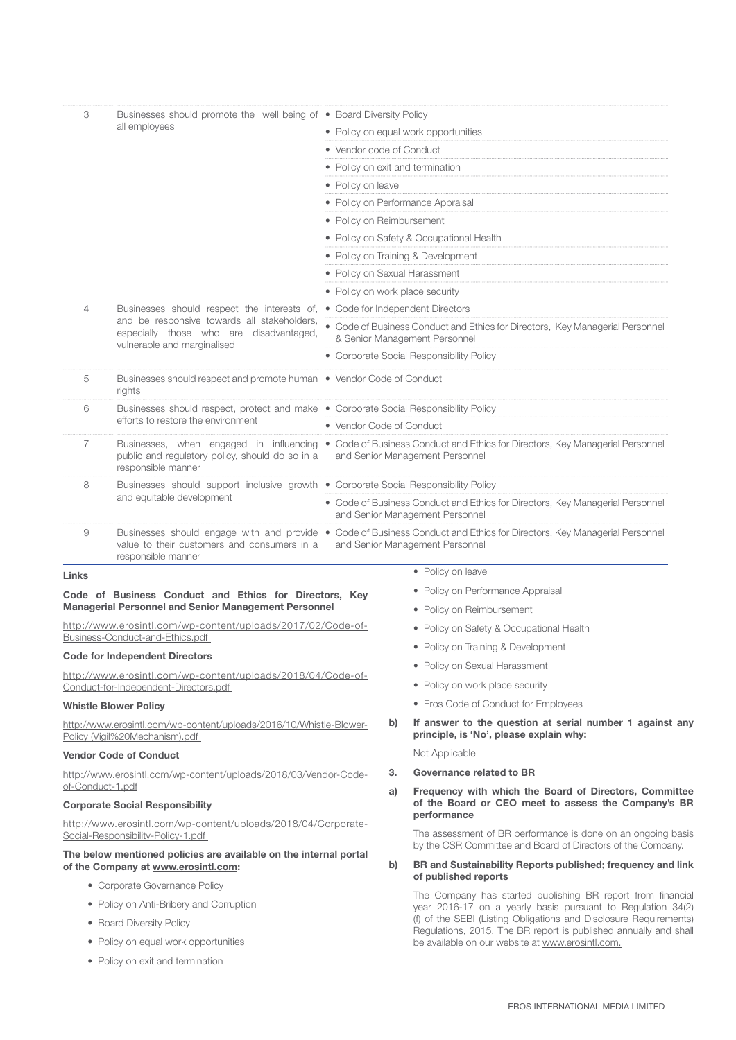| 3                                                                                   | Businesses should promote the well being of • Board Diversity Policy                                                       |                                                                                                                                                          |                                                                                                                             |                                                                                                                                                            |  |  |  |
|-------------------------------------------------------------------------------------|----------------------------------------------------------------------------------------------------------------------------|----------------------------------------------------------------------------------------------------------------------------------------------------------|-----------------------------------------------------------------------------------------------------------------------------|------------------------------------------------------------------------------------------------------------------------------------------------------------|--|--|--|
|                                                                                     | all employees                                                                                                              | • Policy on equal work opportunities                                                                                                                     |                                                                                                                             |                                                                                                                                                            |  |  |  |
|                                                                                     |                                                                                                                            | • Vendor code of Conduct                                                                                                                                 |                                                                                                                             |                                                                                                                                                            |  |  |  |
|                                                                                     |                                                                                                                            | • Policy on exit and termination                                                                                                                         |                                                                                                                             |                                                                                                                                                            |  |  |  |
|                                                                                     |                                                                                                                            | • Policy on leave                                                                                                                                        |                                                                                                                             |                                                                                                                                                            |  |  |  |
|                                                                                     |                                                                                                                            | • Policy on Performance Appraisal                                                                                                                        |                                                                                                                             |                                                                                                                                                            |  |  |  |
|                                                                                     |                                                                                                                            | • Policy on Reimbursement                                                                                                                                |                                                                                                                             |                                                                                                                                                            |  |  |  |
|                                                                                     |                                                                                                                            | • Policy on Safety & Occupational Health                                                                                                                 |                                                                                                                             |                                                                                                                                                            |  |  |  |
|                                                                                     |                                                                                                                            | • Policy on Training & Development                                                                                                                       |                                                                                                                             |                                                                                                                                                            |  |  |  |
|                                                                                     |                                                                                                                            | • Policy on Sexual Harassment                                                                                                                            |                                                                                                                             |                                                                                                                                                            |  |  |  |
|                                                                                     |                                                                                                                            | • Policy on work place security                                                                                                                          |                                                                                                                             |                                                                                                                                                            |  |  |  |
| 4                                                                                   | Businesses should respect the interests of,<br>and be responsive towards all stakeholders,                                 |                                                                                                                                                          |                                                                                                                             | • Code for Independent Directors                                                                                                                           |  |  |  |
|                                                                                     | especially those who are disadvantaged,<br>vulnerable and marginalised                                                     |                                                                                                                                                          |                                                                                                                             | • Code of Business Conduct and Ethics for Directors, Key Managerial Personnel<br>& Senior Management Personnel                                             |  |  |  |
|                                                                                     |                                                                                                                            |                                                                                                                                                          |                                                                                                                             | • Corporate Social Responsibility Policy                                                                                                                   |  |  |  |
| 5                                                                                   | Businesses should respect and promote human . Vendor Code of Conduct<br>rights                                             |                                                                                                                                                          |                                                                                                                             |                                                                                                                                                            |  |  |  |
| 6                                                                                   | Businesses should respect, protect and make . Corporate Social Responsibility Policy<br>efforts to restore the environment |                                                                                                                                                          |                                                                                                                             |                                                                                                                                                            |  |  |  |
|                                                                                     | • Vendor Code of Conduct                                                                                                   |                                                                                                                                                          |                                                                                                                             |                                                                                                                                                            |  |  |  |
| 7                                                                                   | public and regulatory policy, should do so in a<br>responsible manner                                                      | Businesses, when engaged in influencing . Code of Business Conduct and Ethics for Directors, Key Managerial Personnel<br>and Senior Management Personnel |                                                                                                                             |                                                                                                                                                            |  |  |  |
| 8                                                                                   | Businesses should support inclusive growth . Corporate Social Responsibility Policy                                        |                                                                                                                                                          |                                                                                                                             |                                                                                                                                                            |  |  |  |
|                                                                                     | and equitable development                                                                                                  | • Code of Business Conduct and Ethics for Directors, Key Managerial Personnel<br>and Senior Management Personnel                                         |                                                                                                                             |                                                                                                                                                            |  |  |  |
| 9                                                                                   | value to their customers and consumers in a<br>responsible manner                                                          |                                                                                                                                                          |                                                                                                                             | Businesses should engage with and provide . Code of Business Conduct and Ethics for Directors, Key Managerial Personnel<br>and Senior Management Personnel |  |  |  |
| Links                                                                               |                                                                                                                            |                                                                                                                                                          |                                                                                                                             | • Policy on leave                                                                                                                                          |  |  |  |
|                                                                                     | Code of Business Conduct and Ethics for Directors, Key                                                                     |                                                                                                                                                          |                                                                                                                             | • Policy on Performance Appraisal                                                                                                                          |  |  |  |
|                                                                                     | Managerial Personnel and Senior Management Personnel                                                                       |                                                                                                                                                          |                                                                                                                             | • Policy on Reimbursement                                                                                                                                  |  |  |  |
|                                                                                     | http://www.erosintl.com/wp-content/uploads/2017/02/Code-of-<br>Business-Conduct-and-Ethics.pdf                             |                                                                                                                                                          |                                                                                                                             | • Policy on Safety & Occupational Health                                                                                                                   |  |  |  |
|                                                                                     |                                                                                                                            |                                                                                                                                                          |                                                                                                                             | • Policy on Training & Development                                                                                                                         |  |  |  |
|                                                                                     | <b>Code for Independent Directors</b>                                                                                      |                                                                                                                                                          |                                                                                                                             | • Policy on Sexual Harassment                                                                                                                              |  |  |  |
|                                                                                     | http://www.erosintl.com/wp-content/uploads/2018/04/Code-of-<br>Conduct-for-Independent-Directors.pdf                       |                                                                                                                                                          |                                                                                                                             | • Policy on work place security                                                                                                                            |  |  |  |
|                                                                                     | <b>Whistle Blower Policy</b>                                                                                               |                                                                                                                                                          |                                                                                                                             | • Eros Code of Conduct for Employees                                                                                                                       |  |  |  |
|                                                                                     | http://www.erosintl.com/wp-content/uploads/2016/10/Whistle-Blower-<br>Policy (Vigil%20Mechanism).pdf                       |                                                                                                                                                          | b)                                                                                                                          | If answer to the question at serial number 1 against any<br>principle, is 'No', please explain why:                                                        |  |  |  |
|                                                                                     | <b>Vendor Code of Conduct</b>                                                                                              |                                                                                                                                                          |                                                                                                                             | Not Applicable                                                                                                                                             |  |  |  |
|                                                                                     |                                                                                                                            | З.                                                                                                                                                       | Governance related to BR                                                                                                    |                                                                                                                                                            |  |  |  |
| http://www.erosintl.com/wp-content/uploads/2018/03/Vendor-Code-<br>of-Conduct-1.pdf |                                                                                                                            |                                                                                                                                                          | a)                                                                                                                          | Frequency with which the Board of Directors, Committee                                                                                                     |  |  |  |
| <b>Corporate Social Responsibility</b>                                              |                                                                                                                            |                                                                                                                                                          | of the Board or CEO meet to assess the Company's BR<br>performance                                                          |                                                                                                                                                            |  |  |  |
| Social-Responsibility-Policy-1.pdf                                                  | http://www.erosintl.com/wp-content/uploads/2018/04/Corporate-                                                              |                                                                                                                                                          | The assessment of BR performance is done on an ongoing basis<br>by the CSR Committee and Board of Directors of the Company. |                                                                                                                                                            |  |  |  |
| of the Company at www.erosintl.com:                                                 | The below mentioned policies are available on the internal portal                                                          | b)                                                                                                                                                       | BR and Sustainability Reports published; frequency and link<br>of published reports                                         |                                                                                                                                                            |  |  |  |
|                                                                                     | • Corporate Governance Policy                                                                                              |                                                                                                                                                          |                                                                                                                             | <b>DD</b>                                                                                                                                                  |  |  |  |

• Policy on Anti-Bribery and Corruption

- Board Diversity Policy
- Policy on equal work opportunities
- Policy on exit and termination

The Company has started publishing BR report from financial year 2016-17 on a yearly basis pursuant to Regulation 34(2) (f) of the SEBI (Listing Obligations and Disclosure Requirements) Regulations, 2015. The BR report is published annually and shall be available on our website at www.erosintl.com.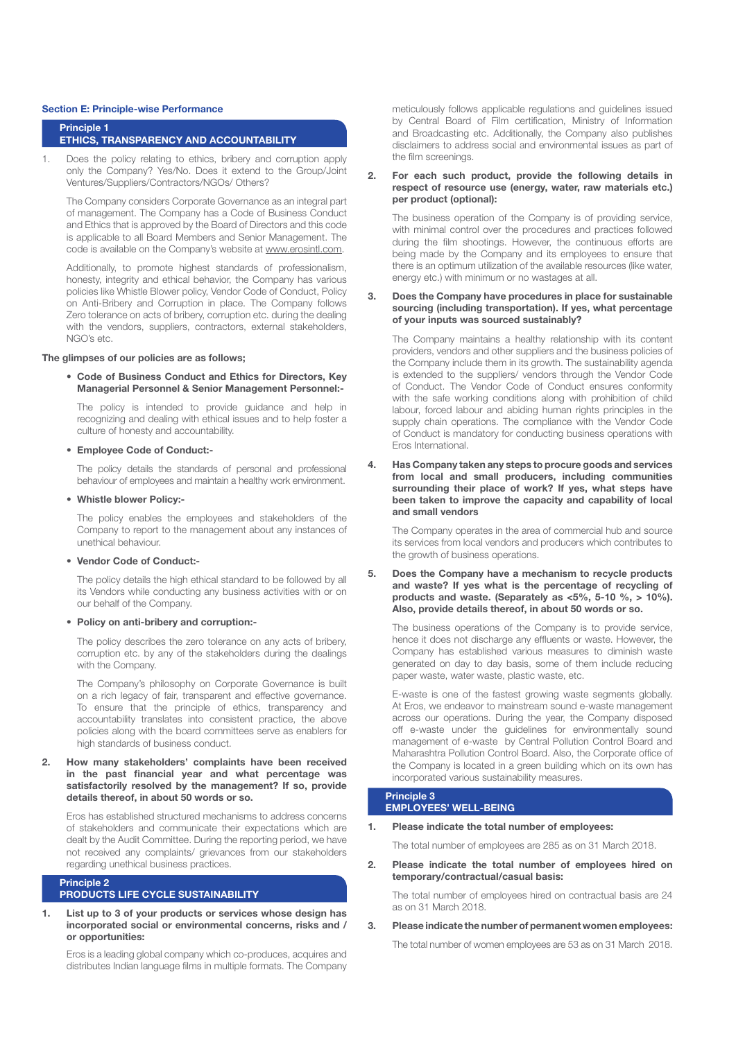#### **Section E: Principle-wise Performance**

#### **Principle 1 ETHICS, TRANSPARENCY AND ACCOUNTABILITY**

1. Does the policy relating to ethics, bribery and corruption apply only the Company? Yes/No. Does it extend to the Group/Joint Ventures/Suppliers/Contractors/NGOs/ Others?

The Company considers Corporate Governance as an integral part of management. The Company has a Code of Business Conduct and Ethics that is approved by the Board of Directors and this code is applicable to all Board Members and Senior Management. The code is available on the Company's website at www.erosintl.com.

Additionally, to promote highest standards of professionalism, honesty, integrity and ethical behavior, the Company has various policies like Whistle Blower policy, Vendor Code of Conduct, Policy on Anti-Bribery and Corruption in place. The Company follows Zero tolerance on acts of bribery, corruption etc. during the dealing with the vendors, suppliers, contractors, external stakeholders, NGO's etc.

# **The glimpses of our policies are as follows;**

**• Code of Business Conduct and Ethics for Directors, Key Managerial Personnel & Senior Management Personnel:-**

The policy is intended to provide guidance and help in recognizing and dealing with ethical issues and to help foster a culture of honesty and accountability.

## **• Employee Code of Conduct:-**

The policy details the standards of personal and professional behaviour of employees and maintain a healthy work environment.

**• Whistle blower Policy:-**

The policy enables the employees and stakeholders of the Company to report to the management about any instances of unethical behaviour.

**• Vendor Code of Conduct:-**

The policy details the high ethical standard to be followed by all its Vendors while conducting any business activities with or on our behalf of the Company.

**• Policy on anti-bribery and corruption:-**

The policy describes the zero tolerance on any acts of bribery, corruption etc. by any of the stakeholders during the dealings with the Company.

The Company's philosophy on Corporate Governance is built on a rich legacy of fair, transparent and effective governance. To ensure that the principle of ethics, transparency and accountability translates into consistent practice, the above policies along with the board committees serve as enablers for high standards of business conduct.

**2. How many stakeholders' complaints have been received in the past financial year and what percentage was satisfactorily resolved by the management? If so, provide details thereof, in about 50 words or so.**

Eros has established structured mechanisms to address concerns of stakeholders and communicate their expectations which are dealt by the Audit Committee. During the reporting period, we have not received any complaints/ grievances from our stakeholders regarding unethical business practices.

#### **Principle 2 PRODUCTS LIFE CYCLE SUSTAINABILITY**

**1. List up to 3 of your products or services whose design has incorporated social or environmental concerns, risks and / or opportunities:**

Eros is a leading global company which co-produces, acquires and distributes Indian language films in multiple formats. The Company meticulously follows applicable regulations and guidelines issued by Central Board of Film certification, Ministry of Information and Broadcasting etc. Additionally, the Company also publishes disclaimers to address social and environmental issues as part of the film screenings.

## **2. For each such product, provide the following details in respect of resource use (energy, water, raw materials etc.) per product (optional):**

The business operation of the Company is of providing service, with minimal control over the procedures and practices followed during the film shootings. However, the continuous efforts are being made by the Company and its employees to ensure that there is an optimum utilization of the available resources (like water, energy etc.) with minimum or no wastages at all.

#### **3. Does the Company have procedures in place for sustainable sourcing (including transportation). If yes, what percentage of your inputs was sourced sustainably?**

The Company maintains a healthy relationship with its content providers, vendors and other suppliers and the business policies of the Company include them in its growth. The sustainability agenda is extended to the suppliers/ vendors through the Vendor Code of Conduct. The Vendor Code of Conduct ensures conformity with the safe working conditions along with prohibition of child labour, forced labour and abiding human rights principles in the supply chain operations. The compliance with the Vendor Code of Conduct is mandatory for conducting business operations with Eros International.

**4. Has Company taken any steps to procure goods and services from local and small producers, including communities surrounding their place of work? If yes, what steps have been taken to improve the capacity and capability of local and small vendors**

The Company operates in the area of commercial hub and source its services from local vendors and producers which contributes to the growth of business operations.

**5. Does the Company have a mechanism to recycle products and waste? If yes what is the percentage of recycling of products and waste. (Separately as <5%, 5-10 %, > 10%). Also, provide details thereof, in about 50 words or so.**

The business operations of the Company is to provide service, hence it does not discharge any effluents or waste. However, the Company has established various measures to diminish waste generated on day to day basis, some of them include reducing paper waste, water waste, plastic waste, etc.

E-waste is one of the fastest growing waste segments globally. At Eros, we endeavor to mainstream sound e-waste management across our operations. During the year, the Company disposed off e-waste under the guidelines for environmentally sound management of e-waste by Central Pollution Control Board and Maharashtra Pollution Control Board. Also, the Corporate office of the Company is located in a green building which on its own has incorporated various sustainability measures.

#### **Principle 3 EMPLOYEES' WELL-BEING**

**1. Please indicate the total number of employees:**

The total number of employees are 285 as on 31 March 2018.

**2. Please indicate the total number of employees hired on temporary/contractual/casual basis:**

The total number of employees hired on contractual basis are 24 as on 31 March 2018.

**3. Please indicate the number of permanent women employees:**

The total number of women employees are 53 as on 31 March 2018.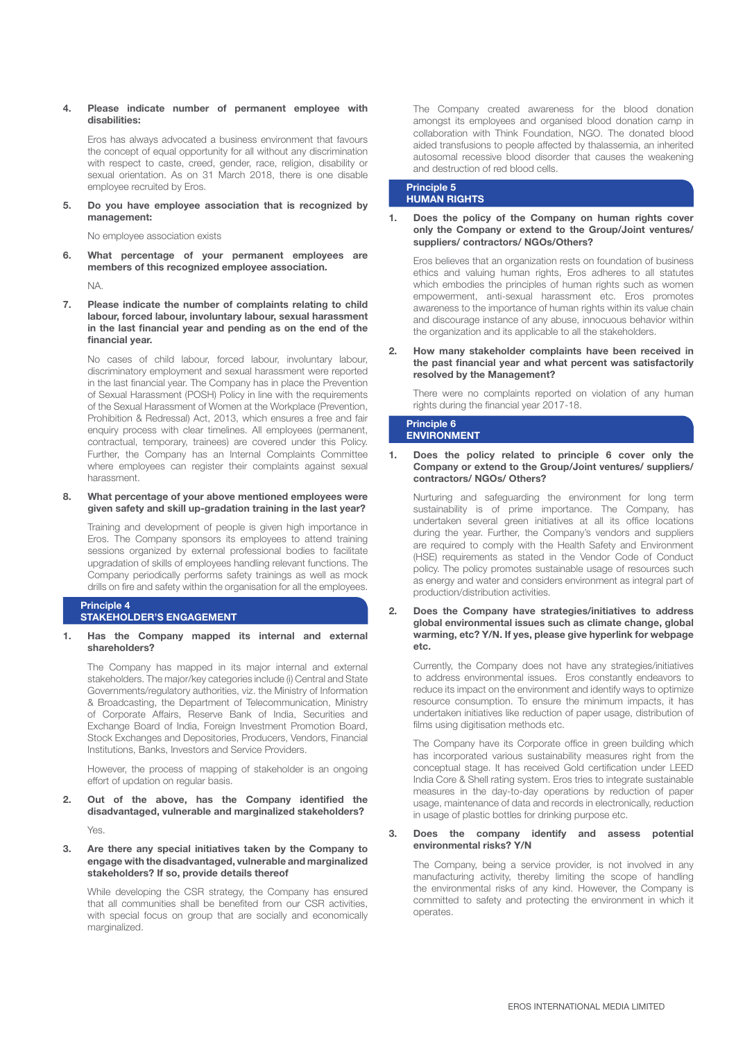## **4. Please indicate number of permanent employee with disabilities:**

Eros has always advocated a business environment that favours the concept of equal opportunity for all without any discrimination with respect to caste, creed, gender, race, religion, disability or sexual orientation. As on 31 March 2018, there is one disable employee recruited by Eros.

**5. Do you have employee association that is recognized by management:**

No employee association exists

**6. What percentage of your permanent employees are members of this recognized employee association.**

NA.

**7. Please indicate the number of complaints relating to child labour, forced labour, involuntary labour, sexual harassment in the last financial year and pending as on the end of the financial year.**

No cases of child labour, forced labour, involuntary labour, discriminatory employment and sexual harassment were reported in the last financial year. The Company has in place the Prevention of Sexual Harassment (POSH) Policy in line with the requirements of the Sexual Harassment of Women at the Workplace (Prevention, Prohibition & Redressal) Act, 2013, which ensures a free and fair enquiry process with clear timelines. All employees (permanent, contractual, temporary, trainees) are covered under this Policy. Further, the Company has an Internal Complaints Committee where employees can register their complaints against sexual harassment.

**8. What percentage of your above mentioned employees were given safety and skill up-gradation training in the last year?**

Training and development of people is given high importance in Eros. The Company sponsors its employees to attend training sessions organized by external professional bodies to facilitate upgradation of skills of employees handling relevant functions. The Company periodically performs safety trainings as well as mock drills on fire and safety within the organisation for all the employees.

#### **Principle 4 STAKEHOLDER'S ENGAGEMENT**

**1. Has the Company mapped its internal and external shareholders?**

The Company has mapped in its major internal and external stakeholders. The major/key categories include (i) Central and State Governments/regulatory authorities, viz. the Ministry of Information & Broadcasting, the Department of Telecommunication, Ministry of Corporate Affairs, Reserve Bank of India, Securities and Exchange Board of India, Foreign Investment Promotion Board, Stock Exchanges and Depositories, Producers, Vendors, Financial Institutions, Banks, Investors and Service Providers.

However, the process of mapping of stakeholder is an ongoing effort of updation on regular basis.

**2. Out of the above, has the Company identified the disadvantaged, vulnerable and marginalized stakeholders?**

Yes.

**3. Are there any special initiatives taken by the Company to engage with the disadvantaged, vulnerable and marginalized stakeholders? If so, provide details thereof**

While developing the CSR strategy, the Company has ensured that all communities shall be benefited from our CSR activities, with special focus on group that are socially and economically marginalized.

The Company created awareness for the blood donation amongst its employees and organised blood donation camp in collaboration with Think Foundation, NGO. The donated blood aided transfusions to people affected by thalassemia, an inherited autosomal recessive blood disorder that causes the weakening and destruction of red blood cells.

# **Principle 5 HUMAN RIGHTS**

**1. Does the policy of the Company on human rights cover only the Company or extend to the Group/Joint ventures/ suppliers/ contractors/ NGOs/Others?**

Eros believes that an organization rests on foundation of business ethics and valuing human rights, Eros adheres to all statutes which embodies the principles of human rights such as women empowerment, anti-sexual harassment etc. Eros promotes awareness to the importance of human rights within its value chain and discourage instance of any abuse, innocuous behavior within the organization and its applicable to all the stakeholders.

# **2. How many stakeholder complaints have been received in the past financial year and what percent was satisfactorily resolved by the Management?**

There were no complaints reported on violation of any human rights during the financial year 2017-18.

#### **Principle 6 ENVIRONMENT**

**1. Does the policy related to principle 6 cover only the Company or extend to the Group/Joint ventures/ suppliers/ contractors/ NGOs/ Others?**

Nurturing and safeguarding the environment for long term sustainability is of prime importance. The Company, has undertaken several green initiatives at all its office locations during the year. Further, the Company's vendors and suppliers are required to comply with the Health Safety and Environment (HSE) requirements as stated in the Vendor Code of Conduct policy. The policy promotes sustainable usage of resources such as energy and water and considers environment as integral part of production/distribution activities.

**2. Does the Company have strategies/initiatives to address global environmental issues such as climate change, global warming, etc? Y/N. If yes, please give hyperlink for webpage etc.**

Currently, the Company does not have any strategies/initiatives to address environmental issues. Eros constantly endeavors to reduce its impact on the environment and identify ways to optimize resource consumption. To ensure the minimum impacts, it has undertaken initiatives like reduction of paper usage, distribution of films using digitisation methods etc.

The Company have its Corporate office in green building which has incorporated various sustainability measures right from the conceptual stage. It has received Gold certification under LEED India Core & Shell rating system. Eros tries to integrate sustainable measures in the day-to-day operations by reduction of paper usage, maintenance of data and records in electronically, reduction in usage of plastic bottles for drinking purpose etc.

# **3. Does the company identify and assess potential environmental risks? Y/N**

The Company, being a service provider, is not involved in any manufacturing activity, thereby limiting the scope of handling the environmental risks of any kind. However, the Company is committed to safety and protecting the environment in which it operates.